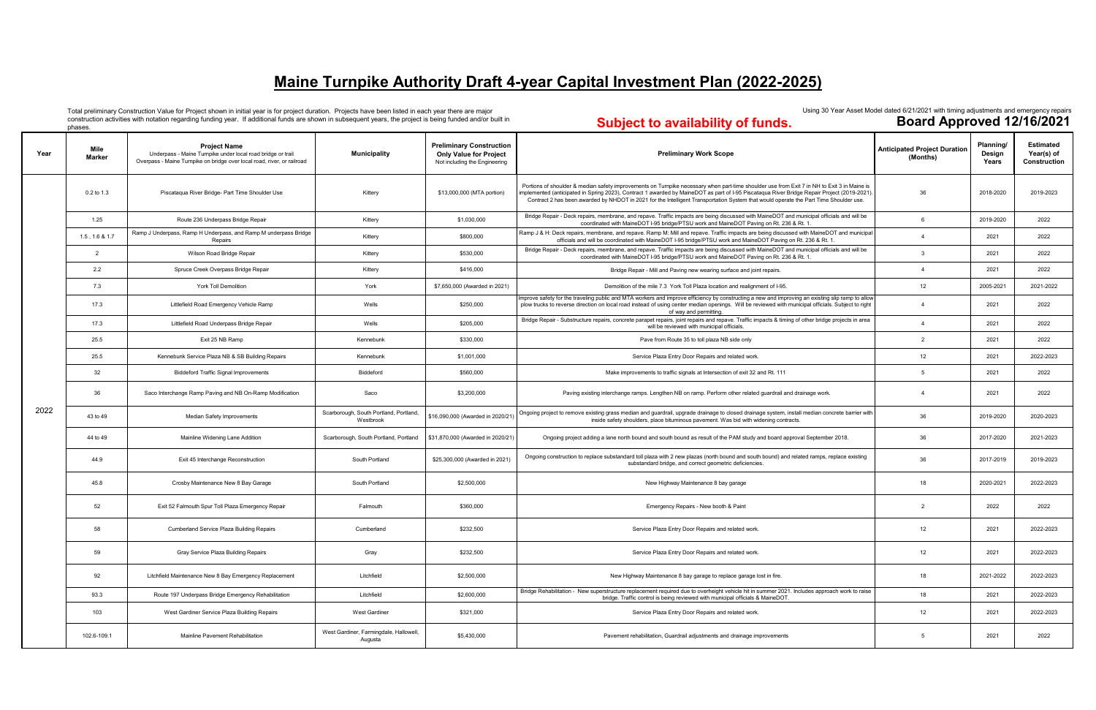|      | phases.        |                                                                                                                                                               |                                                     |                                                                                                   | <b>Supports availability of futuoi</b>                                                                                                                                                                                                                                                                                                                                                                                              | — <del>— — — — — — — — — — — — —</del>          |                              |                                                |
|------|----------------|---------------------------------------------------------------------------------------------------------------------------------------------------------------|-----------------------------------------------------|---------------------------------------------------------------------------------------------------|-------------------------------------------------------------------------------------------------------------------------------------------------------------------------------------------------------------------------------------------------------------------------------------------------------------------------------------------------------------------------------------------------------------------------------------|-------------------------------------------------|------------------------------|------------------------------------------------|
| Year | Mile<br>Marker | <b>Project Name</b><br>Underpass - Maine Turnpike under local road bridge or trail<br>Overpass - Maine Turnpike on bridge over local road, river, or railroad | Municipality                                        | <b>Preliminary Construction</b><br><b>Only Value for Project</b><br>Not including the Engineering | <b>Preliminary Work Scope</b>                                                                                                                                                                                                                                                                                                                                                                                                       | <b>Anticipated Project Duration</b><br>(Months) | Planning/<br>Design<br>Years | <b>Estimated</b><br>Year(s) of<br>Construction |
|      | 0.2 to 1.3     | Piscataqua River Bridge- Part Time Shoulder Use                                                                                                               | Kittery                                             | \$13,000,000 (MTA portion)                                                                        | Portions of shoulder & median safety improvements on Turnpike necessary when part-time shoulder use from Exit 7 in NH to Exit 3 in Maine is<br>nplemented (anticipated in Spring 2023), Contract 1 awarded by MaineDOT as part of I-95 Piscataqua River Bridge Repair Project (2019-2021).<br>Contract 2 has been awarded by NHDOT in 2021 for the Intelligent Transportation System that would operate the Part Time Shoulder use. | 36                                              | 2018-2020                    | 2019-2023                                      |
|      | 1.25           | Route 236 Underpass Bridge Repair                                                                                                                             | Kittery                                             | \$1,030,000                                                                                       | Bridge Repair - Deck repairs, membrane, and repave. Traffic impacts are being discussed with MaineDOT and municipal officials and will be<br>coordinated with MaineDOT I-95 bridge/PTSU work and MaineDOT Paving on Rt. 236 & Rt. 1                                                                                                                                                                                                 | 6                                               | 2019-2020                    | 2022                                           |
|      | 1.5, 1.6 & 1.7 | Ramp J Underpass, Ramp H Underpass, and Ramp M underpass Bridge<br>Repairs                                                                                    | Kittery                                             | \$800,000                                                                                         | Ramp J & H: Deck repairs, membrane, and repave. Ramp M: Mill and repave. Traffic impacts are being discussed with MaineDOT and municipal<br>officials and will be coordinated with MaineDOT I-95 bridge/PTSU work and MaineDOT Paving on Rt. 236 & Rt. 1.                                                                                                                                                                           | $\overline{4}$                                  | 2021                         | 2022                                           |
|      | $\overline{2}$ | Wilson Road Bridge Repair                                                                                                                                     | Kittery                                             | \$530,000                                                                                         | Bridge Repair - Deck repairs, membrane, and repave. Traffic impacts are being discussed with MaineDOT and municipal officials and will be<br>coordinated with MaineDOT I-95 bridge/PTSU work and MaineDOT Paving on Rt. 236 & Rt. 1                                                                                                                                                                                                 | 3                                               | 2021                         | 2022                                           |
|      | 2.2            | Spruce Creek Overpass Bridge Repair                                                                                                                           | Kittery                                             | \$416,000                                                                                         | Bridge Repair - Mill and Paving new wearing surface and joint repairs.                                                                                                                                                                                                                                                                                                                                                              | $\overline{4}$                                  | 2021                         | 2022                                           |
|      | 7.3            | <b>York Toll Demolition</b>                                                                                                                                   | York                                                | \$7,650,000 (Awarded in 2021)                                                                     | Demolition of the mile 7.3 York Toll Plaza location and realignment of I-95.                                                                                                                                                                                                                                                                                                                                                        | 12                                              | 2005-2021                    | 2021-2022                                      |
|      | 17.3           | Littlefield Road Emergency Vehicle Ramp                                                                                                                       | Wells                                               | \$250,000                                                                                         | Improve safety for the traveling public and MTA workers and improve efficiency by constructing a new and improving an existing slip ramp to allow<br>plow trucks to reverse direction on local road instead of using center median openings. Will be reviewed with municipal officials. Subject to right<br>of way and permitting.                                                                                                  | $\overline{4}$                                  | 2021                         | 2022                                           |
|      | 17.3           | Littlefield Road Underpass Bridge Repair                                                                                                                      | Wells                                               | \$205,000                                                                                         | Bridge Repair - Substructure repairs, concrete parapet repairs, joint repairs and repave. Traffic impacts & timing of other bridge projects in area<br>will be reviewed with municipal officials.                                                                                                                                                                                                                                   | $\overline{4}$                                  | 2021                         | 2022                                           |
|      | 25.5           | Exit 25 NB Ramp                                                                                                                                               | Kennebunk                                           | \$330,000                                                                                         | Pave from Route 35 to toll plaza NB side only                                                                                                                                                                                                                                                                                                                                                                                       | 2                                               | 2021                         | 2022                                           |
|      | 25.5           | Kennebunk Service Plaza NB & SB Building Repairs                                                                                                              | Kennebunk                                           | \$1,001,000                                                                                       | Service Plaza Entry Door Repairs and related work.                                                                                                                                                                                                                                                                                                                                                                                  | 12                                              | 2021                         | 2022-2023                                      |
|      | 32             | <b>Biddeford Traffic Signal Improvements</b>                                                                                                                  | Biddeford                                           | \$560,000                                                                                         | Make improvements to traffic signals at Intersection of exit 32 and Rt. 111                                                                                                                                                                                                                                                                                                                                                         | 5                                               | 2021                         | 2022                                           |
|      | 36             | Saco Interchange Ramp Paving and NB On-Ramp Modification                                                                                                      | Saco                                                | \$3,200,000                                                                                       | Paving existing interchange ramps. Lengthen NB on ramp. Perform other related guardrail and drainage work.                                                                                                                                                                                                                                                                                                                          | $\overline{4}$                                  | 2021                         | 2022                                           |
| 2022 | 43 to 49       | Median Safety Improvements                                                                                                                                    | Scarborough, South Portland, Portland,<br>Westbrook | \$16,090,000 (Awarded in 2020/21                                                                  | Ongoing project to remove existing grass median and guardrail, upgrade drainage to closed drainage system, install median concrete barrier with<br>inside safety shoulders, place bituminous pavement. Was bid with widening contracts.                                                                                                                                                                                             | 36                                              | 2019-2020                    | 2020-2023                                      |
|      | 44 to 49       | Mainline Widening Lane Addition                                                                                                                               | Scarborough, South Portland, Portland               | \$31,870,000 (Awarded in 2020/21)                                                                 | Ongoing project adding a lane north bound and south bound as result of the PAM study and board approval September 2018                                                                                                                                                                                                                                                                                                              | 36                                              | 2017-2020                    | 2021-2023                                      |
|      | 44.9           | Exit 45 Interchange Reconstruction                                                                                                                            | South Portland                                      | \$25,300,000 (Awarded in 2021)                                                                    | Ongoing construction to replace substandard toll plaza with 2 new plazas (north bound and south bound) and related ramps, replace existing<br>substandard bridge, and correct geometric deficiencies.                                                                                                                                                                                                                               | 36                                              | 2017-2019                    | 2019-2023                                      |
|      | 45.8           | Crosby Maintenance New 8 Bay Garage                                                                                                                           | South Portland                                      | \$2,500,000                                                                                       | New Highway Maintenance 8 bay garage                                                                                                                                                                                                                                                                                                                                                                                                | 18                                              | 2020-2021                    | 2022-2023                                      |
|      | 52             | Exit 52 Falmouth Spur Toll Plaza Emergency Repair                                                                                                             | Falmouth                                            | \$360,000                                                                                         | Emergency Repairs - New booth & Paint                                                                                                                                                                                                                                                                                                                                                                                               | 2                                               | 2022                         | 2022                                           |
|      | 58             | Cumberland Service Plaza Building Repairs                                                                                                                     | Cumberland                                          | \$232,500                                                                                         | Service Plaza Entry Door Repairs and related work.                                                                                                                                                                                                                                                                                                                                                                                  | 12                                              | 2021                         | 2022-2023                                      |
|      | 59             | Gray Service Plaza Building Repairs                                                                                                                           | Gray                                                | \$232,500                                                                                         | Service Plaza Entry Door Repairs and related work.                                                                                                                                                                                                                                                                                                                                                                                  | 12                                              | 2021                         | 2022-2023                                      |
|      | 92             | Litchfield Maintenance New 8 Bay Emergency Replacement                                                                                                        | Litchfield                                          | \$2,500,000                                                                                       | New Highway Maintenance 8 bay garage to replace garage lost in fire.                                                                                                                                                                                                                                                                                                                                                                | 18                                              | 2021-2022                    | 2022-2023                                      |
|      | 93.3           | Route 197 Underpass Bridge Emergency Rehabilitation                                                                                                           | Litchfield                                          | \$2,600,000                                                                                       | Bridge Rehabilitation - New superstructure replacement required due to overheight vehicle hit in summer 2021. Includes approach work to raise<br>bridge. Traffic control is being reviewed with municipal officials & MaineDOT.                                                                                                                                                                                                     | 18                                              | 2021                         | 2022-2023                                      |
|      | 103            | West Gardiner Service Plaza Building Repairs                                                                                                                  | West Gardiner                                       | \$321,000                                                                                         | Service Plaza Entry Door Repairs and related work.                                                                                                                                                                                                                                                                                                                                                                                  | 12                                              | 2021                         | 2022-2023                                      |
|      | 102.6-109.1    | Mainline Pavement Rehabilitation                                                                                                                              | West Gardiner, Farmingdale, Hallowell,<br>Augusta   | \$5,430,000                                                                                       | Pavement rehabilitation, Guardrail adjustments and drainage improvements                                                                                                                                                                                                                                                                                                                                                            | 5                                               | 2021                         | 2022                                           |

Total preliminary Construction Value for Project shown in initial year is for project duration. Projects have been listed in each year there are major construction activities with notation regarding funding year. If additional funds are shown in subsequent years, the project is being funded and/or built in

#### Using 30 Year Asset Model dated 6/21/2021 with timing adjustments and emergency repairs<br>**Board Approved 12/16/2021 Subject to availability of funds.**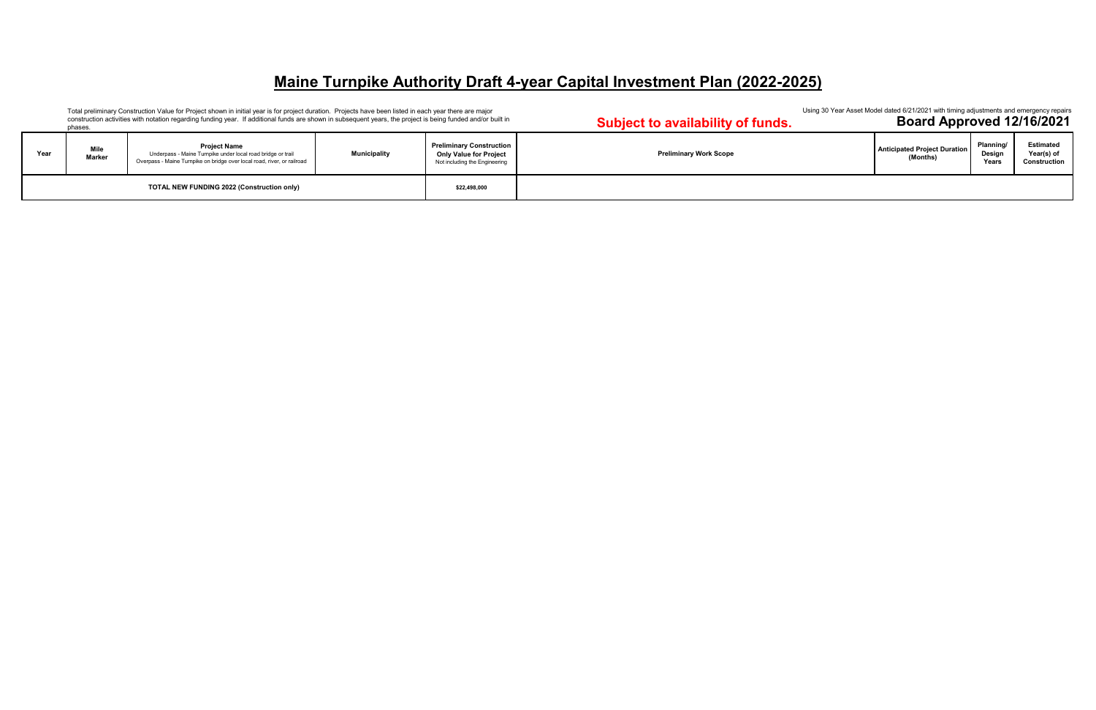**Subject to availability of funds. Year Mile Marker Project Name**  Underpass - Maine Turnpike under local road bridge or trail Overpass - Maine Turnpike on bridge over local road, river, or railroad **Municipality Preliminary Construction Only Value for Project**  Not including the Engineering **Preliminary Work Scope** Total preliminary Construction Value for Project shown in initial year is for project duration. Projects have been listed in each year there are major construction activities with notation regarding funding year. If additional funds are shown in subsequent years, the project is being funded and/or built in phases. **TOTAL NEW FUNDING 2022 (Construction only) \$22,498,000**

Using 30 Year Asset Model dated 6/21/2021 with timing adjustments and emergency repairs<br>**Board Approved 12/16/2021** 

| <b>Anticipated Project Duration</b><br>(Months) | Planning/<br>Design<br>Years | <b>Estimated</b><br>Year(s) of<br>Construction |
|-------------------------------------------------|------------------------------|------------------------------------------------|
|                                                 |                              |                                                |

### **Maine Turnpike Authority Draft 4-year Capital Investment Plan (2022-2025)**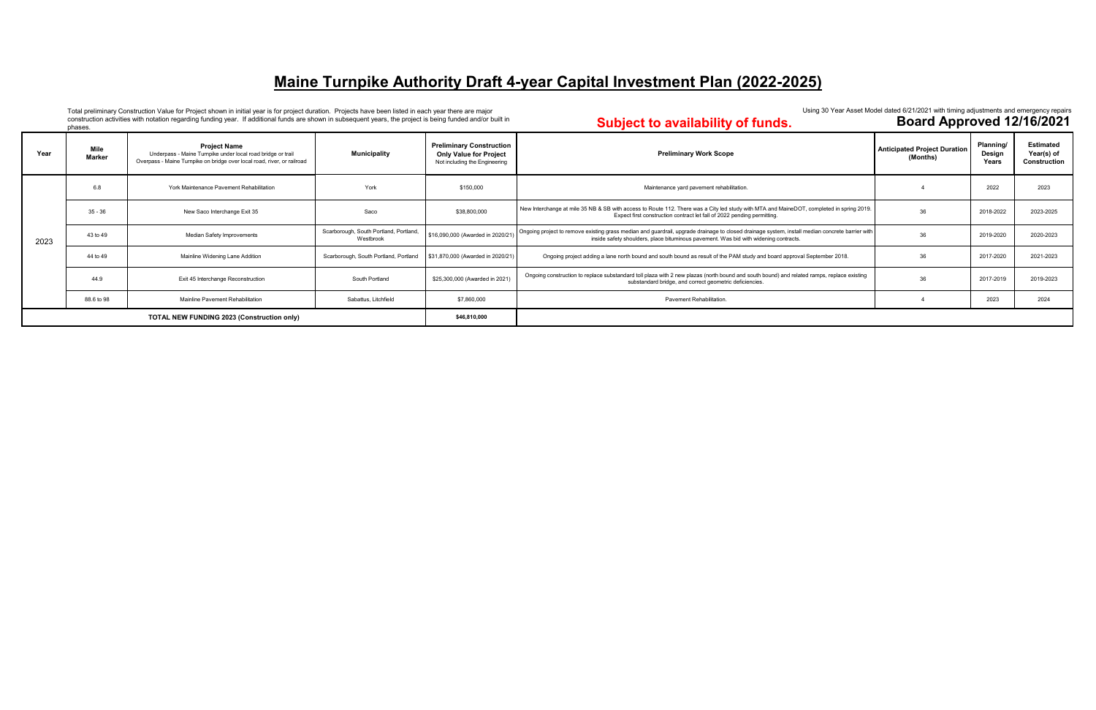Total preliminary Construction Value for Project shown in initial year is for project duration. Projects have been listed in each year there are major construction activities with notation regarding funding year. If additional funds are shown in subsequent years, the project is being funded and/or built in

#### Using 30 Year Asset Model dated 6/21/2021 with timing adjustments and emergency repairs<br>**Board Approved 12/16/2021 Subject to availability of funds.**

phases.

| Year                                              | Mile<br>Marker | <b>Project Name</b><br>Underpass - Maine Turnpike under local road bridge or trail<br>Overpass - Maine Turnpike on bridge over local road, river, or railroad | <b>Municipality</b>                                 | <b>Preliminary Construction</b><br><b>Only Value for Project</b><br>Not including the Engineering | <b>Preliminary Work Scope</b>                                                                                                                                                                                                           | <b>Anticipated Project Duration</b><br>(Months) | Planning/<br>Design<br>Years | <b>Estimated</b><br>Year(s) of<br>Construction |
|---------------------------------------------------|----------------|---------------------------------------------------------------------------------------------------------------------------------------------------------------|-----------------------------------------------------|---------------------------------------------------------------------------------------------------|-----------------------------------------------------------------------------------------------------------------------------------------------------------------------------------------------------------------------------------------|-------------------------------------------------|------------------------------|------------------------------------------------|
| 2023                                              | 6.8            | York Maintenance Pavement Rehabilitation                                                                                                                      | York                                                | \$150,000                                                                                         | Maintenance yard pavement rehabilitation.                                                                                                                                                                                               |                                                 | 2022                         | 2023                                           |
|                                                   | $35 - 36$      | New Saco Interchange Exit 35                                                                                                                                  | Saco                                                | \$38,800,000                                                                                      | New Interchange at mile 35 NB & SB with access to Route 112. There was a City led study with MTA and MaineDOT, completed in spring 2019.<br>Expect first construction contract let fall of 2022 pending permitting.                     | 36                                              | 2018-2022                    | 2023-2025                                      |
|                                                   | 43 to 49       | <b>Median Safety Improvements</b>                                                                                                                             | Scarborough, South Portland, Portland,<br>Westbrook | \$16,090,000 (Awarded in 2020/21)                                                                 | Ongoing project to remove existing grass median and guardrail, upgrade drainage to closed drainage system, install median concrete barrier with<br>inside safety shoulders, place bituminous pavement. Was bid with widening contracts. | 36                                              | 2019-2020                    | 2020-2023                                      |
|                                                   | 44 to 49       | Mainline Widening Lane Addition                                                                                                                               | Scarborough, South Portland, Portland               | \$31,870,000 (Awarded in 2020/21)                                                                 | Ongoing project adding a lane north bound and south bound as result of the PAM study and board approval September 2018.                                                                                                                 | 36                                              | 2017-2020                    | 2021-2023                                      |
|                                                   | 44.9           | Exit 45 Interchange Reconstruction                                                                                                                            | South Portland                                      | \$25,300,000 (Awarded in 2021)                                                                    | Ongoing construction to replace substandard toll plaza with 2 new plazas (north bound and south bound) and related ramps, replace existing<br>substandard bridge, and correct geometric deficiencies.                                   | 36                                              | 2017-2019                    | 2019-2023                                      |
|                                                   | 88.6 to 98     | Mainline Pavement Rehabilitation                                                                                                                              | Sabattus, Litchfield                                | \$7,860,000                                                                                       | Pavement Rehabilitation.                                                                                                                                                                                                                |                                                 | 2023                         | 2024                                           |
| <b>TOTAL NEW FUNDING 2023 (Construction only)</b> |                |                                                                                                                                                               |                                                     | \$46,810,000                                                                                      |                                                                                                                                                                                                                                         |                                                 |                              |                                                |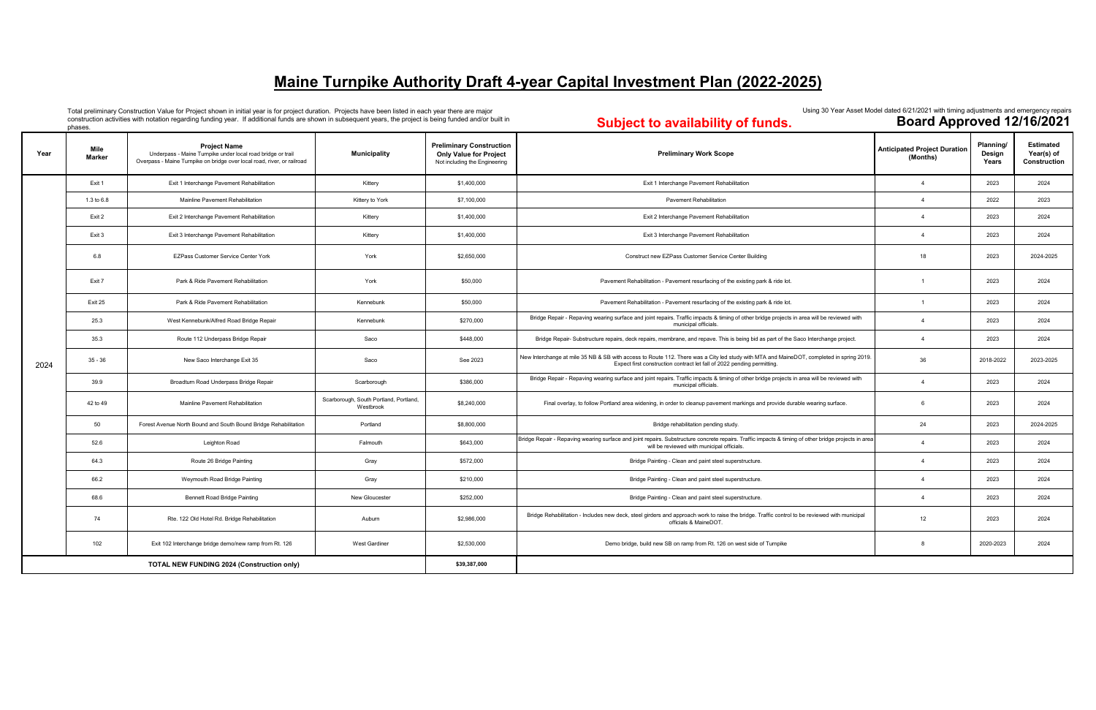Total preliminary Construction Value for Project shown in initial year is for project duration. Projects have been listed in each year there are major construction activities with notation regarding funding year. If additional funds are shown in subsequent years, the project is being funded and/or built in phases.

#### **Subject to availability of funds.**

| Year                                              | Mile<br><b>Marker</b> | <b>Project Name</b><br>Underpass - Maine Turnpike under local road bridge or trail<br>Overpass - Maine Turnpike on bridge over local road, river, or railroad | <b>Municipality</b>                                 | <b>Preliminary Construction</b><br><b>Only Value for Project</b><br>Not including the Engineering | <b>Preliminary Work Scope</b>                                                                                                                                                                                       | <b>Anticipated Project Duration</b><br>(Months) | Planning/<br>Design<br>Years | <b>Estimated</b><br>Year(s) of<br>Construction |
|---------------------------------------------------|-----------------------|---------------------------------------------------------------------------------------------------------------------------------------------------------------|-----------------------------------------------------|---------------------------------------------------------------------------------------------------|---------------------------------------------------------------------------------------------------------------------------------------------------------------------------------------------------------------------|-------------------------------------------------|------------------------------|------------------------------------------------|
|                                                   | Exit 1                | Exit 1 Interchange Pavement Rehabilitation                                                                                                                    | Kitterv                                             | \$1,400,000                                                                                       | Exit 1 Interchange Pavement Rehabilitation                                                                                                                                                                          | $\overline{4}$                                  | 2023                         | 2024                                           |
|                                                   | 1.3 to 6.8            | Mainline Pavement Rehabilitation                                                                                                                              | Kittery to York                                     | \$7,100,000                                                                                       | <b>Pavement Rehabilitation</b>                                                                                                                                                                                      | $\overline{4}$                                  | 2022                         | 2023                                           |
|                                                   | Exit 2                | Exit 2 Interchange Pavement Rehabilitation                                                                                                                    | Kittery                                             | \$1,400,000                                                                                       | Exit 2 Interchange Pavement Rehabilitation                                                                                                                                                                          | $\overline{4}$                                  | 2023                         | 2024                                           |
|                                                   | Exit 3                | Exit 3 Interchange Pavement Rehabilitation                                                                                                                    | Kittery                                             | \$1,400,000                                                                                       | Exit 3 Interchange Pavement Rehabilitation                                                                                                                                                                          | $\overline{4}$                                  | 2023                         | 2024                                           |
|                                                   | 6.8                   | EZPass Customer Service Center York                                                                                                                           | York                                                | \$2,650,000                                                                                       | Construct new EZPass Customer Service Center Building                                                                                                                                                               | 18                                              | 2023                         | 2024-2025                                      |
|                                                   | Exit 7                | Park & Ride Pavement Rehabilitation                                                                                                                           | York                                                | \$50,000                                                                                          | Pavement Rehabilitation - Pavement resurfacing of the existing park & ride lot.                                                                                                                                     |                                                 | 2023                         | 2024                                           |
|                                                   | Exit 25               | Park & Ride Pavement Rehabilitation                                                                                                                           | Kennebunk                                           | \$50,000                                                                                          | Pavement Rehabilitation - Pavement resurfacing of the existing park & ride lot.                                                                                                                                     | $\overline{1}$                                  | 2023                         | 2024                                           |
|                                                   | 25.3                  | West Kennebunk/Alfred Road Bridge Repair                                                                                                                      | Kennebunk                                           | \$270,000                                                                                         | Bridge Repair - Repaving wearing surface and joint repairs. Traffic impacts & timing of other bridge projects in area will be reviewed with<br>municipal officials.                                                 | $\overline{4}$                                  | 2023                         | 2024                                           |
|                                                   | 35.3                  | Route 112 Underpass Bridge Repair                                                                                                                             | Saco                                                | \$448,000                                                                                         | Bridge Repair- Substructure repairs, deck repairs, membrane, and repave. This is being bid as part of the Saco Interchange project.                                                                                 | $\overline{4}$                                  | 2023                         | 2024                                           |
| 2024                                              | $35 - 36$             | New Saco Interchange Exit 35                                                                                                                                  | Saco                                                | See 2023                                                                                          | New Interchange at mile 35 NB & SB with access to Route 112. There was a City led study with MTA and MaineDOT, completed in spring 2019.<br>Expect first construction contract let fall of 2022 pending permitting. | 36                                              | 2018-2022                    | 2023-2025                                      |
|                                                   | 39.9                  | Broadturn Road Underpass Bridge Repair                                                                                                                        | Scarborough                                         | \$386,000                                                                                         | Bridge Repair - Repaving wearing surface and joint repairs. Traffic impacts & timing of other bridge projects in area will be reviewed with<br>municipal officials.                                                 | $\overline{4}$                                  | 2023                         | 2024                                           |
|                                                   | 42 to 49              | Mainline Pavement Rehabilitation                                                                                                                              | Scarborough, South Portland, Portland,<br>Westbrook | \$8,240,000                                                                                       | Final overlay, to follow Portland area widening, in order to cleanup pavement markings and provide durable wearing surface.                                                                                         | -6                                              | 2023                         | 2024                                           |
|                                                   | 50                    | Forest Avenue North Bound and South Bound Bridge Rehabilitation                                                                                               | Portland                                            | \$8,800,000                                                                                       | Bridge rehabilitation pending study.                                                                                                                                                                                | 24                                              | 2023                         | 2024-2025                                      |
|                                                   | 52.6                  | Leighton Road                                                                                                                                                 | Falmouth                                            | \$643,000                                                                                         | Bridge Repair - Repaving wearing surface and joint repairs. Substructure concrete repairs. Traffic impacts & timing of other bridge projects in area<br>will be reviewed with municipal officials.                  | $\overline{4}$                                  | 2023                         | 2024                                           |
|                                                   | 64.3                  | Route 26 Bridge Painting                                                                                                                                      | Gray                                                | \$572,000                                                                                         | Bridge Painting - Clean and paint steel superstructure.                                                                                                                                                             | $\overline{4}$                                  | 2023                         | 2024                                           |
|                                                   | 66.2                  | Weymouth Road Bridge Painting                                                                                                                                 | Gray                                                | \$210,000                                                                                         | Bridge Painting - Clean and paint steel superstructure.                                                                                                                                                             | $\overline{4}$                                  | 2023                         | 2024                                           |
|                                                   | 68.6                  | <b>Bennett Road Bridge Painting</b>                                                                                                                           | New Gloucester                                      | \$252,000                                                                                         | Bridge Painting - Clean and paint steel superstructure.                                                                                                                                                             | $\overline{4}$                                  | 2023                         | 2024                                           |
|                                                   | 74                    | Rte. 122 Old Hotel Rd. Bridge Rehabilitation                                                                                                                  | Auburn                                              | \$2,986,000                                                                                       | Bridge Rehabilitation - Includes new deck, steel girders and approach work to raise the bridge. Traffic control to be reviewed with municipal<br>officials & MaineDOT.                                              | 12                                              | 2023                         | 2024                                           |
|                                                   | 102                   | Exit 102 Interchange bridge demo/new ramp from Rt. 126                                                                                                        | <b>West Gardiner</b>                                | \$2,530,000                                                                                       | Demo bridge, build new SB on ramp from Rt. 126 on west side of Turnpike                                                                                                                                             | 8                                               | 2020-2023                    | 2024                                           |
| <b>TOTAL NEW FUNDING 2024 (Construction only)</b> |                       |                                                                                                                                                               |                                                     | \$39,387,000                                                                                      |                                                                                                                                                                                                                     |                                                 |                              |                                                |

# Using 30 Year Asset Model dated 6/21/2021 with timing adjustments and emergency repairs<br>**Board Approved 12/16/2021**